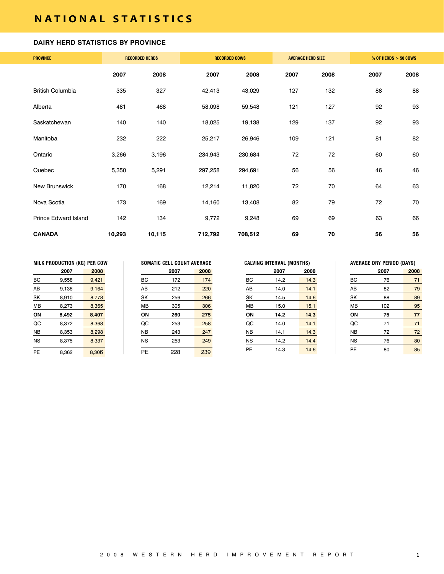# **NATIONAL STATISTICS**

#### **DAIRY HERD STATISTICS BY PROVINCE**

| <b>PROVINCE</b>             |        | <b>RECORDED HERDS</b> |         | <b>RECORDED COWS</b> |      | <b>AVERAGE HERD SIZE</b> |      | $%$ OF HERDS $>$ 50 COWS |
|-----------------------------|--------|-----------------------|---------|----------------------|------|--------------------------|------|--------------------------|
|                             | 2007   | 2008                  | 2007    | 2008                 | 2007 | 2008                     | 2007 | 2008                     |
| <b>British Columbia</b>     | 335    | 327                   | 42,413  | 43,029               | 127  | 132                      | 88   | 88                       |
| Alberta                     | 481    | 468                   | 58,098  | 59,548               | 121  | 127                      | 92   | 93                       |
| Saskatchewan                | 140    | 140                   | 18,025  | 19,138               | 129  | 137                      | 92   | 93                       |
| Manitoba                    | 232    | 222                   | 25,217  | 26,946               | 109  | 121                      | 81   | 82                       |
| Ontario                     | 3,266  | 3,196                 | 234,943 | 230,684              | 72   | 72                       | 60   | 60                       |
| Quebec                      | 5,350  | 5,291                 | 297,258 | 294,691              | 56   | 56                       | 46   | 46                       |
| New Brunswick               | 170    | 168                   | 12,214  | 11,820               | 72   | 70                       | 64   | 63                       |
| Nova Scotia                 | 173    | 169                   | 14,160  | 13,408               | 82   | 79                       | 72   | 70                       |
| <b>Prince Edward Island</b> | 142    | 134                   | 9,772   | 9,248                | 69   | 69                       | 63   | 66                       |
| <b>CANADA</b>               | 10,293 | 10,115                | 712,792 | 708,512              | 69   | 70                       | 56   | 56                       |

|           | MILK PRODUCTION (KG) PER COW |       |           | <b>SOMATIC CELL COUNT AVERAGE</b> |      |           | <b>CALVING INTERVAL (MONTHS)</b> |      |           | <b>AVERAGE DRY PERIOD (DAYS)</b> |     |
|-----------|------------------------------|-------|-----------|-----------------------------------|------|-----------|----------------------------------|------|-----------|----------------------------------|-----|
|           | 2007                         | 2008  |           | 2007                              | 2008 |           | 2007                             | 2008 |           | 2007                             | 200 |
| BС        | 9,558                        | 9,421 | BC        | 172                               | 174  | BC        | 14.2                             | 14.3 | BC        | 76                               |     |
| AB        | 9.138                        | 9,164 | AB        | 212                               | 220  | AB        | 14.0                             | 14.1 | AB        | 82                               |     |
| <b>SK</b> | 8.910                        | 8.778 | <b>SK</b> | 256                               | 266  | SK        | 14.5                             | 14.6 | SK        | 88                               |     |
| <b>MB</b> | 8,273                        | 8,365 | MB        | 305                               | 306  | <b>MB</b> | 15.0                             | 15.1 | <b>MB</b> | 102                              |     |
| ON        | 8.492                        | 8,407 | ON        | 260                               | 275  | ON        | 14.2                             | 14.3 | ΟN        | 75                               |     |
| QC        | 8.372                        | 8,368 | QC        | 253                               | 258  | QC        | 14.0                             | 14.1 | QC        | 71                               |     |
| <b>NB</b> | 8.353                        | 8,298 | <b>NB</b> | 243                               | 247  | <b>NB</b> | 14.1                             | 14.3 | <b>NB</b> | 72                               |     |
| <b>NS</b> | 8,375                        | 8,337 | <b>NS</b> | 253                               | 249  | <b>NS</b> | 14.2                             | 14.4 | <b>NS</b> | 76                               |     |
| PE        | 8.362                        | 8.306 | PE        | 228                               | 239  | <b>PE</b> | 14.3                             | 14.6 | PE        | 80                               |     |

|    | <b>SOMATIC CELL COUNT AVERAGE</b> |      |
|----|-----------------------------------|------|
|    | 2007                              | 2008 |
| BС | 172                               | 174  |
| ΑВ | 212                               | 220  |
| SK | 256                               | 266  |
| MB | 305                               | 306  |
| OΝ | 260                               | 275  |
| QC | 253                               | 258  |
| NB | 243                               | 247  |
| NS | 253                               | 249  |
| ΡF | 228                               | 239  |

|    | 2007 | 2008 |
|----|------|------|
| BС | 14.2 | 14.3 |
| AB | 14.0 | 14.1 |
| SK | 14.5 | 14.6 |
| MВ | 15.0 | 15.1 |
| ΟN | 14.2 | 14.3 |
| QC | 14.0 | 14.1 |
| NΒ | 14.1 | 14.3 |
| NS | 14.2 | 14.4 |
| PF | 14.3 | 146  |

|           | 2007 | 2008 |
|-----------|------|------|
| BС        | 76   | 71   |
| AB        | 82   | 79   |
| SK        | 88   | 89   |
| MB        | 102  | 95   |
| ΟN        | 75   | 77   |
| QC        | 71   | 71   |
| <b>NB</b> | 72   | 72   |
| NS        | 76   | 80   |
| РE        | 80   | 85   |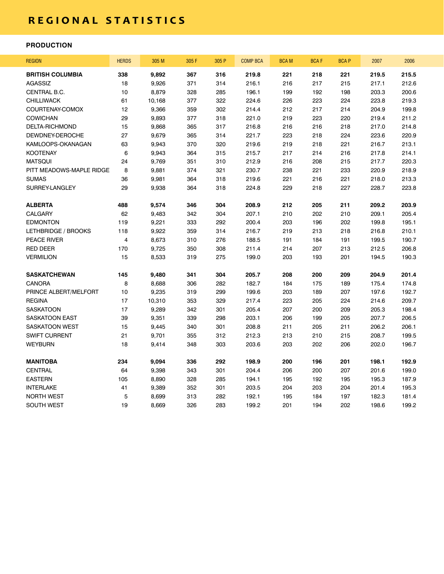# **r e g i o n a l s t a t i s t i c s**

### **PRODUCTION**

| <b>REGION</b>            | <b>HERDS</b>            | 305 M  | 305 F | 305 P | <b>COMP BCA</b> | <b>BCAM</b> | <b>BCAF</b> | <b>BCAP</b> | 2007  | 2006  |
|--------------------------|-------------------------|--------|-------|-------|-----------------|-------------|-------------|-------------|-------|-------|
| <b>BRITISH COLUMBIA</b>  | 338                     | 9,892  | 367   | 316   | 219.8           | 221         | 218         | 221         | 219.5 | 215.5 |
| AGASSIZ                  | 18                      | 9,926  | 371   | 314   | 216.1           | 216         | 217         | 215         | 217.1 | 212.6 |
| CENTRAL B.C.             | 10                      | 8,879  | 328   | 285   | 196.1           | 199         | 192         | 198         | 203.3 | 200.6 |
| <b>CHILLIWACK</b>        | 61                      | 10,168 | 377   | 322   | 224.6           | 226         | 223         | 224         | 223.8 | 219.3 |
| COURTENAY-COMOX          | 12                      | 9,366  | 359   | 302   | 214.4           | 212         | 217         | 214         | 204.9 | 199.8 |
| <b>COWICHAN</b>          | 29                      | 9,893  | 377   | 318   | 221.0           | 219         | 223         | 220         | 219.4 | 211.2 |
| DELTA-RICHMOND           | 15                      | 9,868  | 365   | 317   | 216.8           | 216         | 216         | 218         | 217.0 | 214.8 |
| DEWDNEY-DEROCHE          | 27                      | 9,679  | 365   | 314   | 221.7           | 223         | 218         | 224         | 223.6 | 220.9 |
| KAMLOOPS-OKANAGAN        | 63                      | 9,943  | 370   | 320   | 219.6           | 219         | 218         | 221         | 216.7 | 213.1 |
| <b>KOOTENAY</b>          | 6                       | 9,943  | 364   | 315   | 215.7           | 217         | 214         | 216         | 217.8 | 214.1 |
| <b>MATSQUI</b>           | 24                      | 9,769  | 351   | 310   | 212.9           | 216         | 208         | 215         | 217.7 | 220.3 |
| PITT MEADOWS-MAPLE RIDGE | 8                       | 9,881  | 374   | 321   | 230.7           | 238         | 221         | 233         | 220.9 | 218.9 |
| <b>SUMAS</b>             | 36                      | 9,981  | 364   | 318   | 219.6           | 221         | 216         | 221         | 218.0 | 213.3 |
| SURREY-LANGLEY           | 29                      | 9,938  | 364   | 318   | 224.8           | 229         | 218         | 227         | 228.7 | 223.8 |
| <b>ALBERTA</b>           | 488                     | 9,574  | 346   | 304   | 208.9           | 212         | 205         | 211         | 209.2 | 203.9 |
| <b>CALGARY</b>           | 62                      | 9,483  | 342   | 304   | 207.1           | 210         | 202         | 210         | 209.1 | 205.4 |
| <b>EDMONTON</b>          | 119                     | 9,221  | 333   | 292   | 200.4           | 203         | 196         | 202         | 199.8 | 195.1 |
| LETHBRIDGE / BROOKS      | 118                     | 9,922  | 359   | 314   | 216.7           | 219         | 213         | 218         | 216.8 | 210.1 |
| PEACE RIVER              | $\overline{\mathbf{4}}$ | 8,673  | 310   | 276   | 188.5           | 191         | 184         | 191         | 199.5 | 190.7 |
| <b>RED DEER</b>          | 170                     | 9,725  | 350   | 308   | 211.4           | 214         | 207         | 213         | 212.5 | 206.8 |
| <b>VERMILION</b>         | 15                      | 8,533  | 319   | 275   | 199.0           | 203         | 193         | 201         | 194.5 | 190.3 |
| <b>SASKATCHEWAN</b>      | 145                     | 9,480  | 341   | 304   | 205.7           | 208         | 200         | 209         | 204.9 | 201.4 |
| <b>CANORA</b>            | 8                       | 8,688  | 306   | 282   | 182.7           | 184         | 175         | 189         | 175.4 | 174.8 |
| PRINCE ALBERT/MELFORT    | 10                      | 9,235  | 319   | 299   | 199.6           | 203         | 189         | 207         | 197.6 | 192.7 |
| <b>REGINA</b>            | 17                      | 10,310 | 353   | 329   | 217.4           | 223         | 205         | 224         | 214.6 | 209.7 |
| <b>SASKATOON</b>         | 17                      | 9,289  | 342   | 301   | 205.4           | 207         | 200         | 209         | 205.3 | 198.4 |
| SASKATOON EAST           | 39                      | 9,351  | 339   | 298   | 203.1           | 206         | 199         | 205         | 207.7 | 206.5 |
| <b>SASKATOON WEST</b>    | 15                      | 9,445  | 340   | 301   | 208.8           | 211         | 205         | 211         | 206.2 | 206.1 |
| <b>SWIFT CURRENT</b>     | 21                      | 9,701  | 355   | 312   | 212.3           | 213         | 210         | 215         | 208.7 | 199.5 |
| <b>WEYBURN</b>           | 18                      | 9,414  | 348   | 303   | 203.6           | 203         | 202         | 206         | 202.0 | 196.7 |
| <b>MANITOBA</b>          | 234                     | 9,094  | 336   | 292   | 198.9           | 200         | 196         | 201         | 198.1 | 192.9 |
| <b>CENTRAL</b>           | 64                      | 9,398  | 343   | 301   | 204.4           | 206         | 200         | 207         | 201.6 | 199.0 |
| <b>EASTERN</b>           | 105                     | 8,890  | 328   | 285   | 194.1           | 195         | 192         | 195         | 195.3 | 187.9 |
| <b>INTERLAKE</b>         | 41                      | 9,389  | 352   | 301   | 203.5           | 204         | 203         | 204         | 201.4 | 195.3 |
| <b>NORTH WEST</b>        | 5                       | 8,699  | 313   | 282   | 192.1           | 195         | 184         | 197         | 182.3 | 181.4 |
| <b>SOUTH WEST</b>        | 19                      | 8,669  | 326   | 283   | 199.2           | 201         | 194         | 202         | 198.6 | 199.2 |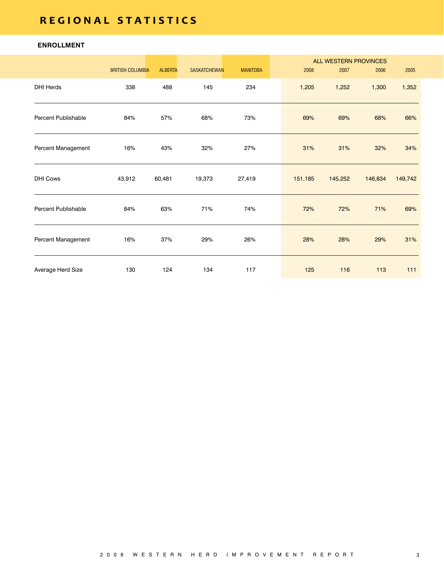# **r e g i o n a l s t a t i s t i c s**

## **ENROLLMENT**

|                            | <b>BRITISH COLUMBIA</b> | <b>ALBERTA</b> | <b>SASKATCHEWAN</b> | <b>MANITOBA</b> | 2008    | <b>ALL WESTERN PROVINCES</b><br>2007 | 2006    | 2005    |
|----------------------------|-------------------------|----------------|---------------------|-----------------|---------|--------------------------------------|---------|---------|
| <b>DHI Herds</b>           | 338                     | 488            | 145                 | 234             | 1,205   | 1,252                                | 1,300   | 1,352   |
| <b>Percent Publishable</b> | 84%                     | 57%            | 68%                 | 73%             | 69%     | 69%                                  | 68%     | 66%     |
| Percent Management         | 16%                     | 43%            | 32%                 | 27%             | 31%     | 31%                                  | 32%     | 34%     |
| <b>DHI Cows</b>            | 43,912                  | 60,481         | 19,373              | 27,419          | 151,185 | 145,252                              | 146,834 | 149,742 |
| <b>Percent Publishable</b> | 84%                     | 63%            | 71%                 | 74%             | 72%     | 72%                                  | 71%     | 69%     |
| Percent Management         | 16%                     | 37%            | 29%                 | 26%             | 28%     | 28%                                  | 29%     | 31%     |
| Average Herd Size          | 130                     | 124            | 134                 | 117             | 125     | 116                                  | 113     | 111     |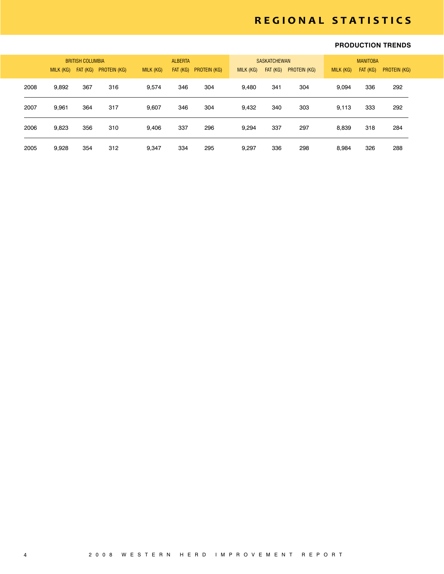# **r e g i o n a l s t a t i s t i c s**

### **PRODUCTION TRENDS**

|      | Milk (KG) | <b>BRITISH COLUMBIA</b><br>FAT (KG) | PROTEIN (KG) | MILK (KG) | <b>ALBERTA</b><br>FAT (KG) | PROTEIN (KG) | MILK (KG) | <b>SASKATCHEWAN</b><br>FAT (KG) | <b>PROTEIN (KG)</b> | MILK (KG) | <b>MANITOBA</b><br>FAT (KG) | PROTEIN (KG) |
|------|-----------|-------------------------------------|--------------|-----------|----------------------------|--------------|-----------|---------------------------------|---------------------|-----------|-----------------------------|--------------|
| 2008 | 9,892     | 367                                 | 316          | 9.574     | 346                        | 304          | 9,480     | 341                             | 304                 | 9.094     | 336                         | 292          |
| 2007 | 9.961     | 364                                 | 317          | 9.607     | 346                        | 304          | 9,432     | 340                             | 303                 | 9,113     | 333                         | 292          |
| 2006 | 9,823     | 356                                 | 310          | 9.406     | 337                        | 296          | 9.294     | 337                             | 297                 | 8.839     | 318                         | 284          |
| 2005 | 9,928     | 354                                 | 312          | 9.347     | 334                        | 295          | 9,297     | 336                             | 298                 | 8.984     | 326                         | 288          |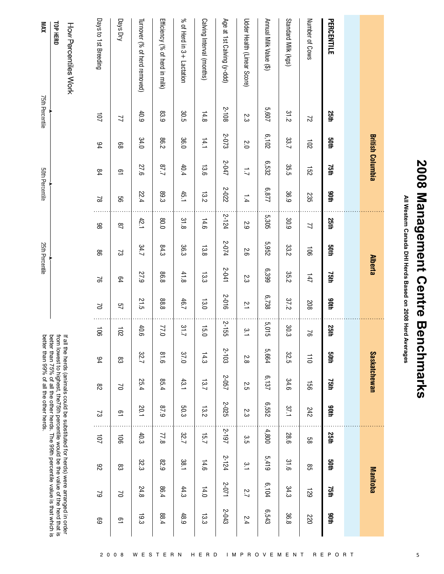| i<br>ا<br>م<br>I<br>$\frac{1}{2}$<br>I |
|----------------------------------------|
| J<br>$\sum_{i=1}^{n}$<br>I<br>I        |
| ٦<br>i<br>ı<br>ı<br>ı<br>ı<br>ţ        |

All Western Canada DHI Herds Based on 2008 Herd Averages **All Western Canada DHI Herds Based on 2008 Herd Averages**

|                                          | <b>British Columbia</b> |                |              |                |                | <b>Alberta</b> |               |                         |             | <b>Saskatchewan</b> |                      |                |                         | Manitoba                      |                 |
|------------------------------------------|-------------------------|----------------|--------------|----------------|----------------|----------------|---------------|-------------------------|-------------|---------------------|----------------------|----------------|-------------------------|-------------------------------|-----------------|
|                                          |                         |                |              |                |                |                |               |                         |             |                     |                      |                |                         |                               |                 |
| PERCENTILE<br>25th                       | <b>Soth</b>             | 75th           | 90th         | 25th           | <b>50th</b>    | 75th           | 90th          | <b>25th</b>             | anth        | 75th                | adth                 | 25th           | anth                    | 75th                          | 90th            |
| Number of Cows<br>$\overline{c}$         | 102                     | 152            | 235          | $\overline{2}$ | $\overline{5}$ | 147            | 208           | $\Im$                   | 110         | 951                 | 242                  | 88             | 85                      | 621                           | 220             |
| Standard Milk (kgs)<br>31.2              | 33.7                    | 35.5           | 36.9         | 30.9           | 33.2           | 35.2           | 37.2          | 30.3                    | 325         | 34.6                | 175                  | 28.6           | 31.6                    | 34.3                          | 36.8            |
| Annual Milk Value (\$)<br>5,607          | 6,102                   | 6,532          | <b>6.877</b> | 5,305          | 5,952          | 6'399          | 6,738         | 5,015                   | 5,664       | 6,137               | 6,552                | 4,800          | 5,419                   | 6,104                         | 6,543           |
| Udder Health (Linear Score)<br>23        | $\overline{0}$          | $\overline{L}$ | 1.4          | 2.9            | 5.6            | 2.3            | $\frac{1}{2}$ | $\tilde{ }$ $\tilde{ }$ | Ņ<br>.<br>∞ | 2.5                 | $\sim$<br>دە         | مع<br>ה َ      | $\tilde{ }$ $\tilde{ }$ | Ņ<br>$\overline{\phantom{0}}$ | 2.4             |
| Age at 1st Calving (y-ddd)<br>2-108      | 2-073                   | 2-047          | 2-022        | 2-124          | 2-074          | 2-041          | 2-016         | 2-155                   | 2-103       | 2-057               | 2-025                | 2-197          | 2-124                   | 2-071                         | 2-043           |
| Calving Interval (months)<br>14.8        | 14.1                    | 13.6           | 13.2         | 14.6           | 13.8           | 13.3           | 13.0          | 15.0                    | 14.3        | 13.7                | $\vec{\omega}$<br>jν | 15.7           | 14.6                    | 14.0                          | $\vec{5}$<br>دە |
| $%$ of Herd in $3+$ Lactation<br>30.5    | 36.0                    | 40.4           | 45.1         | 31.8           | 36.3           | 41.8           | 46.7          | 21.7                    | 37.0        | 43.1                | 503                  | 32.7           | 185                     | 44.3                          | 48.9            |
| Efficiency (% of herd in milk)<br>83.9   | 86.2                    | //8            | 89.3         | 0.08           | 84.3           | 86.8           | 88.8          | 77.0                    | 918         | 85.4                | 6'18                 | 77.8           | 678                     | 86.4                          | 88.4            |
| Turnover (% of herd removed)<br>40.9     | 34.0                    | 27.6           | 22.4         | 42.1           | 34.7           | 27.9           | 21.5          | 40.6                    | 32.7        | 25.4                | 20.1                 | 40.3           | 32.3                    | 24.8                          | 19.3            |
| Days Dry<br>71                           | 88                      | $\overline{a}$ | 99           | $\overline{8}$ | 2              | 64             | 57            | 102                     | ဥ္လ         | $\geq$              | $\overline{a}$       | $\overline{5}$ | ဥ္လ                     | $\geq$                        | $\overline{6}$  |
| Days to 1st Breeding<br>$\overline{101}$ | $^{94}$                 | 84             | $\approx$    | 86             | 88             | $\approx$      | $\geq$        | $\overline{5}$          | 94          | $\frac{8}{2}$       | 2                    | 101            | 82                      | 2                             | ස               |

from lowest to highest, the75th percentile would be the value of the herd that is<br>better than 75% of all the other herds. The 99th percentile value is that which is<br>better than 99% of all the other herds. from lowest to highest, the75th percentile would be the value of the herd that is better than 99% of all the other herds. better than 75% of all the other herds. The 99th percentile value is that which is

**XVM** 

75th Percentile

50th Percentile

25th Percentile

TOP HERD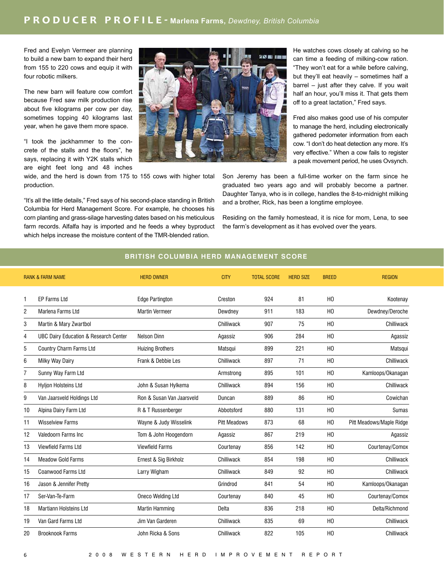Fred and Evelyn Vermeer are planning to build a new barn to expand their herd from 155 to 220 cows and equip it with four robotic milkers.

The new barn will feature cow comfort because Fred saw milk production rise about five kilograms per cow per day, sometimes topping 40 kilograms last year, when he gave them more space.

"I took the jackhammer to the concrete of the stalls and the floors", he says, replacing it with Y2K stalls which are eight feet long and 48 inches

wide, and the herd is down from 175 to 155 cows with higher total production.

"It's all the little details," Fred says of his second-place standing in British Columbia for Herd Management Score. For example, he chooses his corn planting and grass-silage harvesting dates based on his meticulous farm records. Alfalfa hay is imported and he feeds a whey byproduct which helps increase the moisture content of the TMR-blended ration.



He watches cows closely at calving so he can time a feeding of milking-cow ration. "They won't eat for a while before calving, but they'll eat heavily – sometimes half a barrel – just after they calve. If you wait half an hour, you'll miss it. That gets them off to a great lactation," Fred says.

Fred also makes good use of his computer to manage the herd, including electronically gathered pedometer information from each cow. "I don't do heat detection any more. It's very effective." When a cow fails to register a peak movement period, he uses Ovsynch.

Son Jeremy has been a full-time worker on the farm since he graduated two years ago and will probably become a partner. Daughter Tanya, who is in college, handles the 8-to-midnight milking and a brother, Rick, has been a longtime employee.

Residing on the family homestead, it is nice for mom, Lena, to see the farm's development as it has evolved over the years.

## **BRITISH COLUMBIA HERD MANAGEMENT SCORE**

|                | <b>RANK &amp; FARM NAME</b>                      | <b>HERD OWNER</b>         | <b>CITY</b>         | <b>TOTAL SCORE</b> | <b>HERD SIZE</b> | <b>BREED</b>   | <b>REGION</b>            |
|----------------|--------------------------------------------------|---------------------------|---------------------|--------------------|------------------|----------------|--------------------------|
| 1              | EP Farms Ltd                                     | <b>Edge Partington</b>    | Creston             | 924                | 81               | H <sub>0</sub> | Kootenay                 |
| $\overline{2}$ | Marlena Farms Ltd                                | <b>Martin Vermeer</b>     | Dewdney             | 911                | 183              | H <sub>0</sub> | Dewdney/Deroche          |
| 3              | Martin & Mary Zwartbol                           |                           | Chilliwack          | 907                | 75               | H <sub>0</sub> | Chilliwack               |
| 4              | <b>UBC Dairy Education &amp; Research Center</b> | Nelson Dinn               | Agassiz             | 906                | 284              | H <sub>0</sub> | Agassiz                  |
| 5              | Country Charm Farms Ltd                          | <b>Huizing Brothers</b>   | Matsqui             | 899                | 221              | H <sub>0</sub> | Matsqui                  |
| 6              | Milky Way Dairy                                  | Frank & Debbie Les        | Chilliwack          | 897                | 71               | H <sub>0</sub> | Chilliwack               |
| 7              | Sunny Way Farm Ltd                               |                           | Armstrong           | 895                | 101              | H <sub>0</sub> | Kamloops/Okanagan        |
| 8              | <b>Hylion Holsteins Ltd</b>                      | John & Susan Hylkema      | Chilliwack          | 894                | 156              | H <sub>0</sub> | Chilliwack               |
| 9              | Van Jaarsveld Holdings Ltd                       | Ron & Susan Van Jaarsveld | Duncan              | 889                | 86               | H <sub>0</sub> | Cowichan                 |
| 10             | Alpina Dairy Farm Ltd                            | R & T Russenberger        | Abbotsford          | 880                | 131              | H <sub>0</sub> | <b>Sumas</b>             |
| 11             | <b>Wisselview Farms</b>                          | Wayne & Judy Wisselink    | <b>Pitt Meadows</b> | 873                | 68               | H <sub>0</sub> | Pitt Meadows/Maple Ridge |
| 12             | Valedoorn Farms Inc                              | Tom & John Hoogendorn     | Agassiz             | 867                | 219              | H <sub>0</sub> | Agassiz                  |
| 13             | <b>Viewfield Farms Ltd</b>                       | <b>Viewfield Farms</b>    | Courtenay           | 856                | 142              | H <sub>0</sub> | Courtenay/Comox          |
| 14             | <b>Meadow Gold Farms</b>                         | Ernest & Sig Birkholz     | Chilliwack          | 854                | 198              | H <sub>0</sub> | Chilliwack               |
| 15             | <b>Coanwood Farms Ltd</b>                        | Larry Wigham              | Chilliwack          | 849                | 92               | H <sub>0</sub> | Chilliwack               |
| 16             | Jason & Jennifer Pretty                          |                           | Grindrod            | 841                | 54               | H <sub>0</sub> | Kamloops/Okanagan        |
| 17             | Ser-Van-Te-Farm                                  | Oneco Welding Ltd         | Courtenay           | 840                | 45               | H <sub>0</sub> | Courtenay/Comox          |
| 18             | <b>Martiann Holsteins Ltd</b>                    | Martin Hamming            | Delta               | 836                | 218              | H <sub>0</sub> | Delta/Richmond           |
| 19             | Van Gard Farms Ltd                               | Jim Van Garderen          | Chilliwack          | 835                | 69               | H <sub>0</sub> | Chilliwack               |
| 20             | <b>Brooknook Farms</b>                           | John Ricka & Sons         | Chilliwack          | 822                | 105              | H <sub>0</sub> | Chilliwack               |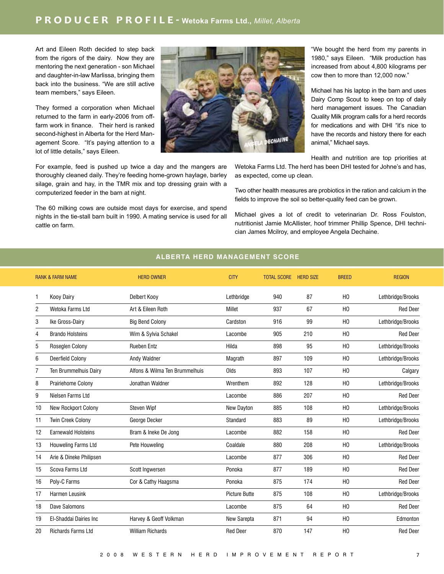Art and Eileen Roth decided to step back from the rigors of the dairy. Now they are mentoring the next generation - son Michael and daughter-in-law Marlissa, bringing them back into the business. "We are still active team members," says Eileen.

They formed a corporation when Michael returned to the farm in early-2006 from offfarm work in finance. Their herd is ranked second-highest in Alberta for the Herd Management Score. "It's paying attention to a lot of little details," says Eileen.

For example, feed is pushed up twice a day and the mangers are thoroughly cleaned daily. They're feeding home-grown haylage, barley silage, grain and hay, in the TMR mix and top dressing grain with a computerized feeder in the barn at night.

The 60 milking cows are outside most days for exercise, and spend nights in the tie-stall barn built in 1990. A mating service is used for all cattle on farm.



"We bought the herd from my parents in 1980," says Eileen. "Milk production has increased from about 4,800 kilograms per cow then to more than 12,000 now."

Michael has his laptop in the barn and uses Dairy Comp Scout to keep on top of daily herd management issues. The Canadian Quality Milk program calls for a herd records for medications and with DHI "it's nice to have the records and history there for each animal," Michael says.

Health and nutrition are top priorities at

Wetoka Farms Ltd. The herd has been DHI tested for Johne's and has, as expected, come up clean.

Two other health measures are probiotics in the ration and calcium in the fields to improve the soil so better-quality feed can be grown.

Michael gives a lot of credit to veterinarian Dr. Ross Foulston, nutritionist Jamie McAllister, hoof trimmer Phillip Spence, DHI technician James Mcilroy, and employee Angela Dechaine.

#### **ALBERTA HERD MANAGEMENT SCORE**

|    | <b>RANK &amp; FARM NAME</b> | <b>HERD OWNER</b>              | <b>CITY</b>          | <b>TOTAL SCORE</b> | <b>HERD SIZE</b> | <b>BREED</b>   | <b>REGION</b>     |
|----|-----------------------------|--------------------------------|----------------------|--------------------|------------------|----------------|-------------------|
| 1  | <b>Kooy Dairy</b>           | Delbert Kooy                   | Lethbridge           | 940                | 87               | H <sub>0</sub> | Lethbridge/Brooks |
| 2  | Wetoka Farms Ltd            | Art & Eileen Roth              | Millet               | 937                | 67               | H <sub>0</sub> | <b>Red Deer</b>   |
| 3  | Ike Gross-Dairy             | <b>Big Bend Colony</b>         | Cardston             | 916                | 99               | H <sub>0</sub> | Lethbridge/Brooks |
| 4  | <b>Brando Holsteins</b>     | Wim & Sylvia Schakel           | Lacombe              | 905                | 210              | H <sub>0</sub> | <b>Red Deer</b>   |
| 5  | Roseglen Colony             | <b>Rueben Entz</b>             | Hilda                | 898                | 95               | H <sub>0</sub> | Lethbridge/Brooks |
| 6  | Deerfield Colony            | Andy Waldner                   | Magrath              | 897                | 109              | H <sub>0</sub> | Lethbridge/Brooks |
| 7  | Ten Brummelhuis Dairy       | Alfons & Wilma Ten Brummelhuis | Olds                 | 893                | 107              | H <sub>0</sub> | Calgary           |
| 8  | Prairiehome Colony          | Jonathan Waldner               | Wrenthem             | 892                | 128              | H <sub>0</sub> | Lethbridge/Brooks |
| 9  | Nielsen Farms Ltd           |                                | Lacombe              | 886                | 207              | H <sub>0</sub> | <b>Red Deer</b>   |
| 10 | <b>New Rockport Colony</b>  | <b>Steven Wipf</b>             | New Dayton           | 885                | 108              | H <sub>0</sub> | Lethbridge/Brooks |
| 11 | <b>Twin Creek Colony</b>    | George Decker                  | Standard             | 883                | 89               | H <sub>0</sub> | Lethbridge/Brooks |
| 12 | <b>Earnewald Holsteins</b>  | Bram & Ineke De Jong           | Lacombe              | 882                | 158              | H <sub>0</sub> | <b>Red Deer</b>   |
| 13 | Houweling Farms Ltd         | Pete Houweling                 | Coaldale             | 880                | 208              | H <sub>0</sub> | Lethbridge/Brooks |
| 14 | Arie & Dineke Philipsen     |                                | Lacombe              | 877                | 306              | H <sub>0</sub> | <b>Red Deer</b>   |
| 15 | Scova Farms Ltd             | Scott Ingwersen                | Ponoka               | 877                | 189              | H <sub>0</sub> | <b>Red Deer</b>   |
| 16 | Poly-C Farms                | Cor & Cathy Haagsma            | Ponoka               | 875                | 174              | H <sub>0</sub> | <b>Red Deer</b>   |
| 17 | Harmen Leusink              |                                | <b>Picture Butte</b> | 875                | 108              | H <sub>0</sub> | Lethbridge/Brooks |
| 18 | Dave Salomons               |                                | Lacombe              | 875                | 64               | H <sub>0</sub> | <b>Red Deer</b>   |
| 19 | El-Shaddai Dairies Inc      | Harvey & Geoff Volkman         | New Sarepta          | 871                | 94               | H <sub>0</sub> | Edmonton          |
| 20 | <b>Richards Farms Ltd</b>   | <b>William Richards</b>        | <b>Red Deer</b>      | 870                | 147              | H <sub>0</sub> | <b>Red Deer</b>   |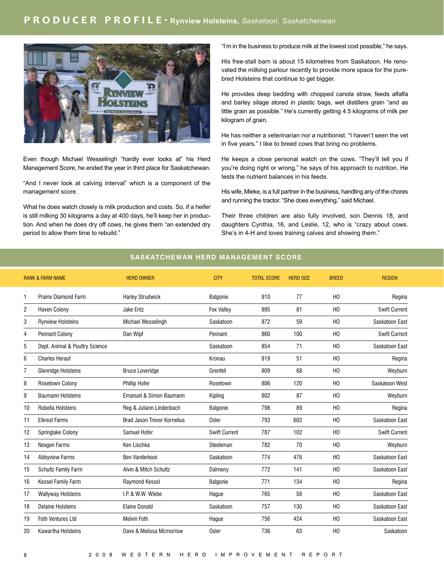

Even though Michael Wesselingh "hardly ever looks at" his Herd Management Score, he ended the year in third place for Saskatchewan.

"And I never look at calving interval" which is a component of the management score.

What he does watch closely is milk production and costs. So, if a heifer is still milking 30 kilograms a day at 400 days, he'll keep her in production. And when he does dry off cows, he gives them "an extended dry period to allow them time to rebuild."

"I'm in the business to produce milk at the lowest cost possible," he says.

His free-stall barn is about 15 kilometres from Saskatoon. He renovated the milking parlour recently to provide more space for the purebred Holsteins that continue to get bigger.

He provides deep bedding with chopped canola straw, feeds alfalfa and barley silage stored in plastic bags, wet distillers grain "and as little grain as possible." He's currently getting 4.5 kilograms of milk per kilogram of grain.

He has neither a veterinarian nor a nutritionist. "I haven't seen the vet in five years." I like to breed cows that bring no problems.

He keeps a close personal watch on the cows. "They'll tell you if you're doing right or wrong," he says of his approach to nutrition. He tests the nutrient balances in his feeds.

His wife, Mieke, is a full partner in the business, handling any of the chores and running the tractor. "She does everything," said Michael.

Their three children are also fully involved, son Dennis 18, and daughters Cynthia, 16, and Leslie, 12, who is "crazy about cows. She's in 4-H and loves training calves and showing them."

#### **SASKATCHEWAN HERD MANAGEMENT SCORE**

|    | <b>RANK &amp; FARM NAME</b>    | <b>HERD OWNER</b>                  | <b>CITY</b>          | <b>TOTAL SCORE</b> | <b>HERD SIZE</b> | <b>BREED</b>   | <b>REGION</b>        |
|----|--------------------------------|------------------------------------|----------------------|--------------------|------------------|----------------|----------------------|
| 1  | Prairie Diamond Farm           | <b>Harley Strudwick</b>            | Balgonie             | 910                | 77               | H <sub>0</sub> | Regina               |
| 2  | <b>Haven Colony</b>            | Jake Entz                          | <b>Fox Valley</b>    | 895                | 81               | H <sub>0</sub> | <b>Swift Current</b> |
| 3  | <b>Rynview Holsteins</b>       | Michael Wesselingh                 | Saskatoon            | 872                | 59               | H <sub>0</sub> | Saskatoon East       |
| 4  | <b>Pennant Colony</b>          | Dan Wipf                           | Pennant              | 860                | 100              | H <sub>0</sub> | <b>Swift Current</b> |
| 5  | Dept. Animal & Poultry Science |                                    | Saskatoon            | 854                | 71               | H <sub>0</sub> | Saskatoon East       |
| 6  | <b>Charles Herauf</b>          |                                    | Kronau               | 819                | 51               | H <sub>0</sub> | Regina               |
| 7  | <b>Glenridge Holsteins</b>     | <b>Bruce Loveridge</b>             | Grenfell             | 809                | 68               | H <sub>0</sub> | Weyburn              |
| 8  | Rosetown Colony                | Phillip Hofer                      | Rosetown             | 806                | 120              | H <sub>0</sub> | Saskatoon West       |
| 9  | <b>Baumann Holsteins</b>       | Emanuel & Simon Baumann            | Kipling              | 802                | 87               | H <sub>0</sub> | Weyburn              |
| 10 | Robella Holsteins              | Reg & Juliann Lindenbach           | Balgonie             | 798                | 89               | H <sub>0</sub> | Regina               |
| 11 | <b>Elkrest Farms</b>           | <b>Brad Jason Trevor Kornelius</b> | <b>Osler</b>         | 793                | 602              | H <sub>0</sub> | Saskatoon East       |
| 12 | Springlake Colony              | Samuel Hofer                       | <b>Swift Current</b> | 787                | 102              | H <sub>0</sub> | <b>Swift Current</b> |
| 13 | Nexgen Farms                   | Ken Lischka                        | Steeleman            | 782                | 70               | H <sub>0</sub> | Weyburn              |
| 14 | <b>Abbyview Farms</b>          | Ben Vanderkooi                     | Saskatoon            | 774                | 476              | H <sub>0</sub> | Saskatoon East       |
| 15 | Schultz Family Farm            | Alvin & Mitch Schultz              | Dalmeny              | 772                | 141              | H <sub>0</sub> | Saskatoon East       |
| 16 | Kessel Family Farm             | Raymond Kessel                     | Balgonie             | 771                | 134              | H <sub>0</sub> | Regina               |
| 17 | <b>Wallyway Holsteins</b>      | I.P. & W.W. Wiebe                  | Hague                | 765                | 58               | H <sub>0</sub> | Saskatoon East       |
| 18 | <b>Delaine Holsteins</b>       | <b>Elaine Donald</b>               | Saskatoon            | 757                | 130              | H <sub>0</sub> | Saskatoon East       |
| 19 | <b>Foth Ventures Ltd</b>       | <b>Melvin Foth</b>                 | Haque                | 756                | 424              | H <sub>0</sub> | Saskatoon East       |
| 20 | Kawartha Holsteins             | Dave & Melissa Mcmorrow            | Osler                | 736                | 63               | H <sub>0</sub> | Saskatoon            |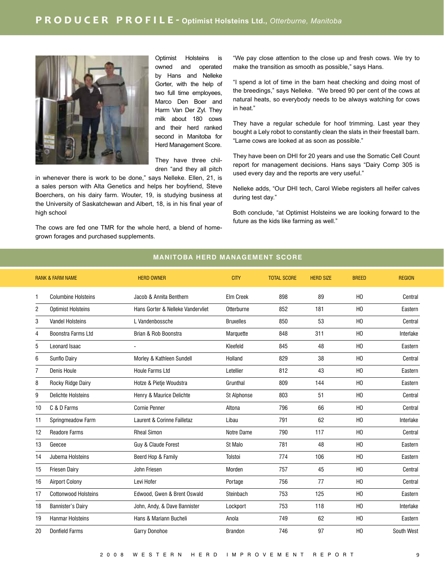

Optimist Holsteins is owned and operated by Hans and Nelleke Gorter, with the help of two full time employees, Marco Den Boer and Harm Van Der Zyl. They milk about 180 cows and their herd ranked second in Manitoba for Herd Management Score.

They have three children "and they all pitch

in whenever there is work to be done," says Nelleke. Ellen, 21, is a sales person with Alta Genetics and helps her boyfriend, Steve Boerchers, on his dairy farm. Wouter, 19, is studying business at the University of Saskatchewan and Albert, 18, is in his final year of high school

The cows are fed one TMR for the whole herd, a blend of homegrown forages and purchased supplements.

"We pay close attention to the close up and fresh cows. We try to make the transition as smooth as possible," says Hans.

"I spend a lot of time in the barn heat checking and doing most of the breedings," says Nelleke. "We breed 90 per cent of the cows at natural heats, so everybody needs to be always watching for cows in heat."

They have a regular schedule for hoof trimming. Last year they bought a Lely robot to constantly clean the slats in their freestall barn. "Lame cows are looked at as soon as possible."

They have been on DHI for 20 years and use the Somatic Cell Count report for management decisions. Hans says "Dairy Comp 305 is used every day and the reports are very useful."

Nelleke adds, "Our DHI tech, Carol Wiebe registers all heifer calves during test day."

Both conclude, "at Optimist Holsteins we are looking forward to the future as the kids like farming as well."

# RANK & FARM NAME THERDOWNER THERDOWNER CITY TOTAL SCORE HERD SIZE **BREED REGION** 1 Columbine Holsteins Jacob & Annita Benthem Elm Creek 898 89 HO Central 2 Optimist Holsteins Hans Gorter & Nelleke Vandervliet Otterburne 852 181 HO Eastern 3 Vandel Holsteins L Vandenbossche Bruxelles 850 53 HO Central 4 Boonstra Farms Ltd Brian & Rob Boonstra Marquette 848 311 HO Interlake 5 Leonard Isaac - Kleefeld 845 48 HO Eastern 6 Sunflo Dairy Morley & Kathleen Sundell Holland 829 38 HO Central 7 Denis Houle Houle Farms Ltd Letellier 812 43 HO Eastern 8 Rocky Ridge Dairy **Hotze & Pietje Woudstra** Grunthal 809 144 HO Bastern 9 Delichte Holsteins Henry & Maurice Delichte St Alphonse 803 51 HO Central 10 C & D Farms Cornie Penner Altona 796 66 HO Central 11 Springmeadow Farm Laurent & Corinne Failletaz Libau 791 62 HO Interlake 12 Readore Farms Rheal Simon Notre Dame 790 117 HO Central 13 Geecee Guy & Claude Forest St Malo 781 48 HO Eastern 14 Jubema Holsteins Beerd Hop & Family Tolstoi 774 106 HO Eastern 15 Friesen Dairy John Friesen Morden 757 45 HO Central 16 Airport Colony Levi Hofer Portage 756 77 HO Central 17 Cottonwood Holsteins Edwood, Gwen & Brent Oswald Steinbach 753 125 HO Eastern 18 Bannister's Dairy John, Andy, & Dave Bannister Lockport 753 118 HO Interlake 19 Hanmar Holsteins **Hans & Mariann Bucheli** Anola **19 Anola** 749 62 HO Eastern 20 Donfield Farms Garry Donohoe Brandon 746 97 HO South West

#### **MANITOBA HERD MANAGEMENT SCORE**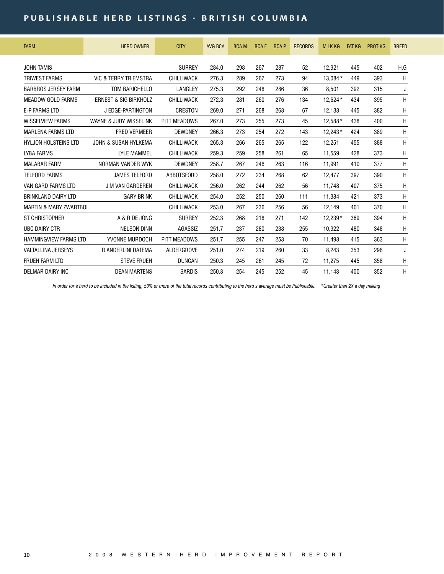## **PUBLISHABLE HERD LISTINGS - BRITISH COLUMBIA**

| <b>FARM</b>                       | <b>HERD OWNER</b>                | <b>CITY</b>       | <b>AVG BCA</b> | <b>BCAM</b> | <b>BCAF</b> | <b>BCAP</b> | <b>RECORDS</b> | <b>MILK KG</b> | <b>FAT KG</b> | <b>PROT KG</b> | <b>BREED</b> |
|-----------------------------------|----------------------------------|-------------------|----------------|-------------|-------------|-------------|----------------|----------------|---------------|----------------|--------------|
| <b>JOHN TAMIS</b>                 |                                  | <b>SURREY</b>     | 284.0          | 298         | 267         | 287         | 52             | 12,921         | 445           | 402            | H,G          |
| <b>TRIWEST FARMS</b>              | VIC & TERRY TRIEMSTRA            | CHILLIWACK        | 276.3          | 289         | 267         | 273         | 94             | 13.084*        | 449           | 393            | H            |
| <b>BARBROS JERSEY FARM</b>        | <b>TOM BARICHELLO</b>            | LANGLEY           | 275.3          | 292         | 248         | 286         | 36             | 8.501          | 392           | 315            | J            |
| <b>MEADOW GOLD FARMS</b>          | <b>ERNEST &amp; SIG BIRKHOLZ</b> | <b>CHILLIWACK</b> | 272.3          | 281         | 260         | 276         | 134            | 12.624*        | 434           | 395            | H            |
| <b>E-P FARMS LTD</b>              | J EDGE-PARTINGTON                | CRESTON           | 269.0          | 271         | 268         | 268         | 67             | 12,138         | 445           | 382            | H            |
| <b>WISSELVIEW FARMS</b>           | WAYNE & JUDY WISSELINK           | PITT MEADOWS      | 267.0          | 273         | 255         | 273         | 45             | 12.588*        | 438           | 400            | H            |
| <b>MARLENA FARMS LTD</b>          | <b>FRED VERMEER</b>              | <b>DEWDNEY</b>    | 266.3          | 273         | 254         | 272         | 143            | $12.243*$      | 424           | 389            | H            |
| <b>HYLJON HOLSTEINS LTD</b>       | <b>JOHN &amp; SUSAN HYLKEMA</b>  | <b>CHILLIWACK</b> | 265.3          | 266         | 265         | 265         | 122            | 12.251         | 455           | 388            | H            |
| <b>LYBA FARMS</b>                 | <b>LYLE MAMMEL</b>               | CHILLIWACK        | 259.3          | 259         | 258         | 261         | 65             | 11.559         | 428           | 373            | H            |
| <b>MALABAR FARM</b>               | NORMAN VANDER WYK                | <b>DEWDNEY</b>    | 258.7          | 267         | 246         | 263         | 116            | 11.991         | 410           | 377            | H            |
| <b>TELFORD FARMS</b>              | <b>JAMES TELFORD</b>             | <b>ABBOTSFORD</b> | 258.0          | 272         | 234         | 268         | 62             | 12.477         | 397           | 390            | H            |
| VAN GARD FARMS ITD                | <b>JIM VAN GARDEREN</b>          | <b>CHILLIWACK</b> | 256.0          | 262         | 244         | 262         | 56             | 11.748         | 407           | 375            | H            |
| <b>BRINKLAND DAIRY LTD</b>        | <b>GARY BRINK</b>                | <b>CHILLIWACK</b> | 254.0          | 252         | 250         | 260         | 111            | 11,384         | 421           | 373            | H            |
| <b>MARTIN &amp; MARY ZWARTBOL</b> |                                  | <b>CHILLIWACK</b> | 253.0          | 267         | 236         | 256         | 56             | 12.149         | 401           | 370            | H            |
| ST CHRISTOPHER                    | A & R DE JONG                    | <b>SURREY</b>     | 252.3          | 268         | 218         | 271         | 142            | $12.239*$      | 369           | 394            | H            |
| <b>UBC DAIRY CTR</b>              | <b>NELSON DINN</b>               | AGASSIZ           | 251.7          | 237         | 280         | 238         | 255            | 10,922         | 480           | 348            | H            |
| <b>HAMMINGVIFW FARMS ITD</b>      | YVONNE MURDOCH                   | PITT MEADOWS      | 251.7          | 255         | 247         | 253         | 70             | 11,498         | 415           | 363            | H            |
| <b>VALTALLINA JERSEYS</b>         | <b>R ANDERLINI DATEMA</b>        | <b>ALDERGROVE</b> | 251.0          | 274         | 219         | 260         | 33             | 8.243          | 353           | 296            | J            |
| <b>FRUEH FARM LTD</b>             | <b>STEVE FRUEH</b>               | <b>DUNCAN</b>     | 250.3          | 245         | 261         | 245         | 72             | 11.275         | 445           | 358            | H            |
| DELMAR DAIRY INC                  | <b>DEAN MARTENS</b>              | <b>SARDIS</b>     | 250.3          | 254         | 245         | 252         | 45             | 11,143         | 400           | 352            | H            |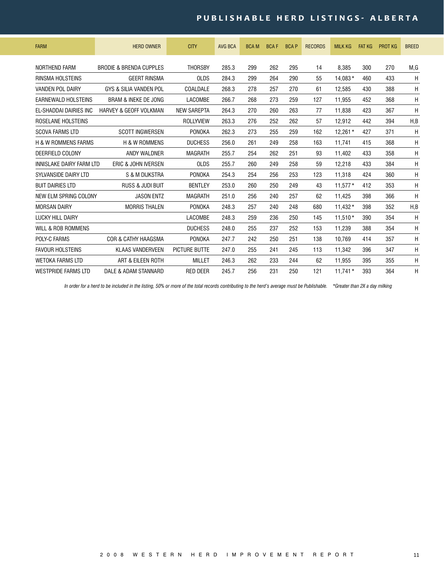# PUBLISHABLE HERD LISTINGS - ALBERTA

| <b>FARM</b>                    | <b>HERD OWNER</b>                  | <b>CITY</b>          | <b>AVG BCA</b> | <b>BCAM</b> | <b>BCAF</b> | <b>BCAP</b> | <b>RECORDS</b> | <b>MILK KG</b> | <b>FAT KG</b> | <b>PROT KG</b> | <b>BREED</b> |
|--------------------------------|------------------------------------|----------------------|----------------|-------------|-------------|-------------|----------------|----------------|---------------|----------------|--------------|
| <b>NORTHEND FARM</b>           | <b>BRODIE &amp; BRENDA CUPPLES</b> | <b>THORSBY</b>       | 285.3          | 299         | 262         | 295         | 14             | 8.385          | 300           | 270            | M,G          |
| RINSMA HOLSTEINS               | <b>GEERT RINSMA</b>                | <b>OLDS</b>          | 284.3          | 299         | 264         | 290         | 55             | 14.083*        | 460           | 433            | H            |
| <b>VANDEN POL DAIRY</b>        | GYS & SILIA VANDEN POL             | COALDALE             | 268.3          | 278         | 257         | 270         | 61             | 12.585         | 430           | 388            | H            |
| EARNEWALD HOLSTEINS            | <b>BRAM &amp; INEKE DE JONG</b>    | LACOMBE              | 266.7          | 268         | 273         | 259         | 127            | 11.955         | 452           | 368            | H            |
| EL-SHADDAI DAIRIES INC         | HARVEY & GEOFF VOLKMAN             | <b>NEW SAREPTA</b>   | 264.3          | 270         | 260         | 263         | 77             | 11.838         | 423           | 367            | H            |
| ROSELANE HOLSTEINS             |                                    | <b>ROLLYVIEW</b>     | 263.3          | 276         | 252         | 262         | 57             | 12.912         | 442           | 394            | H,B          |
| <b>SCOVA FARMS LTD</b>         | <b>SCOTT INGWERSEN</b>             | <b>PONOKA</b>        | 262.3          | 273         | 255         | 259         | 162            | 12.261*        | 427           | 371            | H            |
| <b>H &amp; W ROMMENS FARMS</b> | <b>H &amp; W ROMMENS</b>           | <b>DUCHESS</b>       | 256.0          | 261         | 249         | 258         | 163            | 11.741         | 415           | 368            | H            |
| DEERFIELD COLONY               | ANDY WALDNER                       | <b>MAGRATH</b>       | 255.7          | 254         | 262         | 251         | 93             | 11.402         | 433           | 358            | Η            |
| INNISLAKE DAIRY FARM LTD       | ERIC & JOHN IVERSEN                | <b>OLDS</b>          | 255.7          | 260         | 249         | 258         | 59             | 12,218         | 433           | 384            | H            |
| SYLVANSIDE DAIRY LTD           | S & M DIJKSTRA                     | <b>PONOKA</b>        | 254.3          | 254         | 256         | 253         | 123            | 11.318         | 424           | 360            | H            |
| <b>BUIT DAIRIES LTD</b>        | <b>RUSS &amp; JUDI BUIT</b>        | <b>BENTLEY</b>       | 253.0          | 260         | 250         | 249         | 43             | $11.577*$      | 412           | 353            | H            |
| NEW ELM SPRING COLONY          | <b>JASON ENTZ</b>                  | <b>MAGRATH</b>       | 251.0          | 256         | 240         | 257         | 62             | 11,425         | 398           | 366            | H            |
| <b>MORSAN DAIRY</b>            | <b>MORRIS THALEN</b>               | <b>PONOKA</b>        | 248.3          | 257         | 240         | 248         | 680            | $11.432*$      | 398           | 352            | H, B         |
| LUCKY HILL DAIRY               |                                    | LACOMBE              | 248.3          | 259         | 236         | 250         | 145            | $11.510*$      | 390           | 354            | H            |
| <b>WILL &amp; ROB ROMMENS</b>  |                                    | <b>DUCHESS</b>       | 248.0          | 255         | 237         | 252         | 153            | 11,239         | 388           | 354            | H            |
| POLY-C FARMS                   | <b>COR &amp; CATHY HAAGSMA</b>     | <b>PONOKA</b>        | 247.7          | 242         | 250         | 251         | 138            | 10.769         | 414           | 357            | H            |
| <b>FAVOUR HOLSTEINS</b>        | <b>KLAAS VANDERVEEN</b>            | <b>PICTURE BUTTE</b> | 247.0          | 255         | 241         | 245         | 113            | 11,342         | 396           | 347            | H            |
| <b>WETOKA FARMS LTD</b>        | ART & EILEEN ROTH                  | <b>MILLET</b>        | 246.3          | 262         | 233         | 244         | 62             | 11,955         | 395           | 355            | H            |
| <b>WESTPRIDE FARMS LTD</b>     | DALE & ADAM STANNARD               | <b>RED DEER</b>      | 245.7          | 256         | 231         | 250         | 121            | $11.741*$      | 393           | 364            | Η            |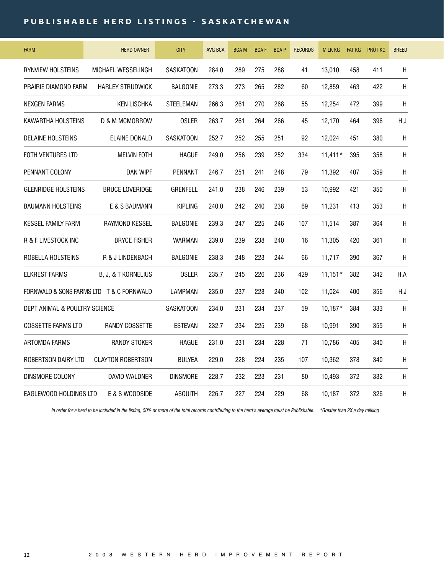## **PUBLISHABLE HERD LISTINGS - SASKATCHEWAN**

| <b>FARM</b>                              | <b>HERD OWNER</b>         | <b>CITY</b>      | <b>AVG BCA</b> | <b>BCAM</b> | <b>BCAF</b> | <b>BCAP</b> | <b>RECORDS</b> | <b>MILK KG</b> | <b>FAT KG</b> | <b>PROT KG</b> | <b>BREED</b> |
|------------------------------------------|---------------------------|------------------|----------------|-------------|-------------|-------------|----------------|----------------|---------------|----------------|--------------|
| RYNVIEW HOLSTEINS                        | MICHAEL WESSELINGH        | <b>SASKATOON</b> | 284.0          | 289         | 275         | 288         | 41             | 13,010         | 458           | 411            | H            |
| PRAIRIE DIAMOND FARM                     | <b>HARLEY STRUDWICK</b>   | <b>BALGONIE</b>  | 273.3          | 273         | 265         | 282         | 60             | 12,859         | 463           | 422            | H            |
| <b>NEXGEN FARMS</b>                      | <b>KEN LISCHKA</b>        | STEELEMAN        | 266.3          | 261         | 270         | 268         | 55             | 12,254         | 472           | 399            | $\sf H$      |
| KAWARTHA HOLSTEINS                       | <b>D &amp; M MCMORROW</b> | <b>OSLER</b>     | 263.7          | 261         | 264         | 266         | 45             | 12,170         | 464           | 396            | H,J          |
| <b>DELAINE HOLSTEINS</b>                 | ELAINE DONALD             | <b>SASKATOON</b> | 252.7          | 252         | 255         | 251         | 92             | 12,024         | 451           | 380            | $\mathsf{H}$ |
| FOTH VENTURES LTD                        | <b>MELVIN FOTH</b>        | <b>HAGUE</b>     | 249.0          | 256         | 239         | 252         | 334            | $11,411*$      | 395           | 358            | Н            |
| PENNANT COLONY                           | DAN WIPF                  | <b>PENNANT</b>   | 246.7          | 251         | 241         | 248         | 79             | 11,392         | 407           | 359            | H            |
| <b>GLENRIDGE HOLSTEINS</b>               | <b>BRUCE LOVERIDGE</b>    | <b>GRENFELL</b>  | 241.0          | 238         | 246         | 239         | 53             | 10,992         | 421           | 350            | Н            |
| <b>BAUMANN HOLSTEINS</b>                 | E & S BAUMANN             | <b>KIPLING</b>   | 240.0          | 242         | 240         | 238         | 69             | 11,231         | 413           | 353            | H            |
| <b>KESSEL FAMILY FARM</b>                | <b>RAYMOND KESSEL</b>     | <b>BALGONIE</b>  | 239.3          | 247         | 225         | 246         | 107            | 11,514         | 387           | 364            | H            |
| R & F LIVESTOCK INC                      | <b>BRYCE FISHER</b>       | <b>WARMAN</b>    | 239.0          | 239         | 238         | 240         | 16             | 11,305         | 420           | 361            | H            |
| ROBELLA HOLSTEINS                        | R & J LINDENBACH          | <b>BALGONIE</b>  | 238.3          | 248         | 223         | 244         | 66             | 11,717         | 390           | 367            | H            |
| <b>ELKREST FARMS</b>                     | B, J, & T KORNELIUS       | <b>OSLER</b>     | 235.7          | 245         | 226         | 236         | 429            | $11.151*$      | 382           | 342            | H,A          |
| FORNWALD & SONS FARMS LTD T & C FORNWALD |                           | <b>LAMPMAN</b>   | 235.0          | 237         | 228         | 240         | 102            | 11,024         | 400           | 356            | H,J          |
| DEPT ANIMAL & POULTRY SCIENCE            |                           | <b>SASKATOON</b> | 234.0          | 231         | 234         | 237         | 59             | $10.187*$      | 384           | 333            | H            |
| <b>COSSETTE FARMS LTD</b>                | RANDY COSSETTE            | <b>ESTEVAN</b>   | 232.7          | 234         | 225         | 239         | 68             | 10,991         | 390           | 355            | $\sf H$      |
| ARTOMDA FARMS                            | <b>RANDY STOKER</b>       | <b>HAGUE</b>     | 231.0          | 231         | 234         | 228         | 71             | 10,786         | 405           | 340            | Н            |
| ROBERTSON DAIRY LTD                      | <b>CLAYTON ROBERTSON</b>  | <b>BULYEA</b>    | 229.0          | 228         | 224         | 235         | 107            | 10,362         | 378           | 340            | $\sf H$      |
| DINSMORE COLONY                          | DAVID WALDNER             | DINSMORE         | 228.7          | 232         | 223         | 231         | 80             | 10.493         | 372           | 332            | H            |
| EAGLEWOOD HOLDINGS LTD                   | E & S WOODSIDE            | <b>ASQUITH</b>   | 226.7          | 227         | 224         | 229         | 68             | 10.187         | 372           | 326            | Н            |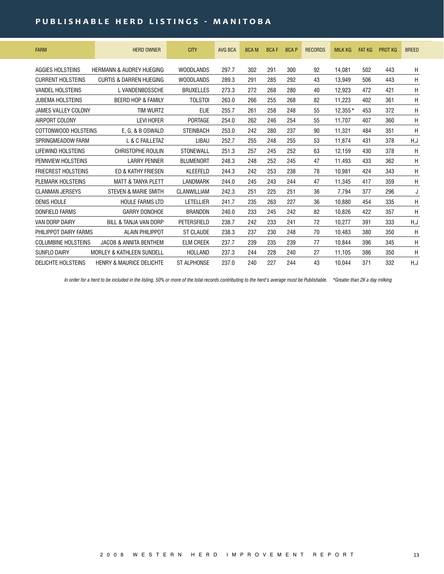## **PUBLISHABLE HERD LISTINGS - MANITOBA**

| <b>FARM</b>                | <b>HERD OWNER</b>                    | <b>CITY</b>        | <b>AVG BCA</b> | <b>BCAM</b> | <b>BCAF</b> | <b>BCAP</b> | <b>RECORDS</b> | <b>MILK KG</b> | <b>FAT KG</b> | <b>PROT KG</b> | <b>BREED</b> |
|----------------------------|--------------------------------------|--------------------|----------------|-------------|-------------|-------------|----------------|----------------|---------------|----------------|--------------|
| AGGIES HOLSTEINS           | <b>HERMANN &amp; AUDREY HUEGING</b>  | <b>WOODLANDS</b>   | 297.7          | 302         | 291         | 300         | 92             | 14.081         | 502           | 443            | H            |
| <b>CURRENT HOLSTEINS</b>   | <b>CURTIS &amp; DARREN HUEGING</b>   | <b>WOODLANDS</b>   | 289.3          | 291         | 285         | 292         | 43             | 13.949         | 506           | 443            | Η            |
| <b>VANDEL HOLSTEINS</b>    | L VANDENBOSSCHE                      | <b>BRUXELLES</b>   | 273.3          | 272         | 268         | 280         | 40             | 12.923         | 472           | 421            | H            |
| JUBEMA HOLSTEINS           | <b>BEERD HOP &amp; FAMILY</b>        | <b>TOLSTOI</b>     | 263.0          | 266         | 255         | 268         | 82             | 11,223         | 402           | 361            | Η            |
| JAMES VALLEY COLONY        | <b>TIM WURTZ</b>                     | ELIE               | 255.7          | 261         | 258         | 248         | 55             | $12.355*$      | 453           | 372            | Η            |
| AIRPORT COLONY             | <b>LEVI HOFER</b>                    | PORTAGE            | 254.0          | 262         | 246         | 254         | 55             | 11.707         | 407           | 360            | H            |
| COTTONWOOD HOLSTEINS       | E, G, & B OSWALD                     | <b>STEINBACH</b>   | 253.0          | 242         | 280         | 237         | 90             | 11,321         | 484           | 351            | Η            |
| SPRINGMEADOW FARM          | L & C FAILLETAZ                      | <b>LIBAU</b>       | 252.7          | 255         | 248         | 255         | 53             | 11,874         | 431           | 378            | H,J          |
| LIFEWIND HOLSTEINS         | <b>CHRISTOPHE ROULIN</b>             | <b>STONEWALL</b>   | 251.3          | 257         | 245         | 252         | 63             | 12.159         | 430           | 378            | H            |
| PENNVIEW HOLSTEINS         | <b>LARRY PENNER</b>                  | <b>BLUMENORT</b>   | 248.3          | 248         | 252         | 245         | 47             | 11,493         | 433           | 362            | Η            |
| <b>FRIECREST HOLSTEINS</b> | ED & KATHY FRIESEN                   | <b>KLEEFELD</b>    | 244.3          | 242         | 253         | 238         | 78             | 10.981         | 424           | 343            | Η            |
| PLEMARK HOLSTEINS          | <b>MATT &amp; TANYA PLETT</b>        | LANDMARK           | 244.0          | 245         | 243         | 244         | 47             | 11.345         | 417           | 359            | Η            |
| <b>CLANMAN JERSEYS</b>     | <b>STEVEN &amp; MARIE SMITH</b>      | CLANWILLIAM        | 242.3          | 251         | 225         | 251         | 36             | 7,794          | 377           | 296            | J            |
| <b>DENIS HOULE</b>         | <b>HOULE FARMS LTD</b>               | LETELLIER          | 241.7          | 235         | 263         | 227         | 36             | 10.880         | 454           | 335            | Η            |
| DONFIELD FARMS             | <b>GARRY DONOHOE</b>                 | <b>BRANDON</b>     | 240.0          | 233         | 245         | 242         | 82             | 10.826         | 422           | 357            | H            |
| VAN DORP DAIRY             | BILL & TANJA VAN DORP                | PETERSFIELD        | 238.7          | 242         | 233         | 241         | 72             | 10.277         | 391           | 333            | H,J          |
| PHILIPPOT DAIRY FARMS      | <b>ALAIN PHILIPPOT</b>               | <b>ST CLAUDE</b>   | 238.3          | 237         | 230         | 248         | 70             | 10.483         | 380           | 350            | Η            |
| <b>COLUMBINE HOLSTEINS</b> | <b>JACOB &amp; ANNITA BENTHEM</b>    | <b>ELM CREEK</b>   | 237.7          | 239         | 235         | 239         | 77             | 10.844         | 396           | 345            | Η            |
| <b>SUNFLO DAIRY</b>        | <b>MORLEY &amp; KATHLEEN SUNDELL</b> | HOLLAND            | 237.3          | 244         | 228         | 240         | 27             | 11,105         | 386           | 350            | Η            |
| <b>DELICHTE HOLSTEINS</b>  | <b>HENRY &amp; MAURICE DELICHTE</b>  | <b>ST ALPHONSE</b> | 237.0          | 240         | 227         | 244         | 43             | 10.044         | 371           | 332            | H,J          |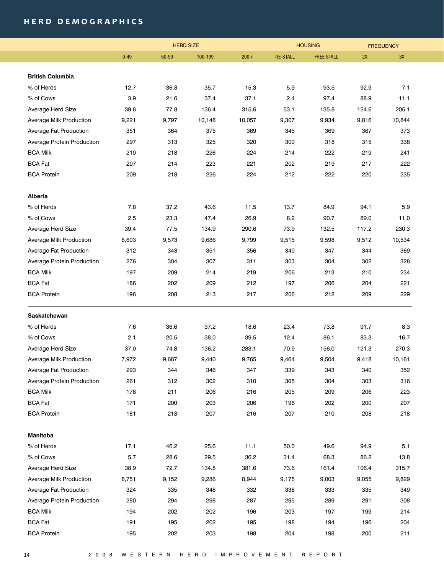## **h e r d d e m o g r a p h i c s**

|                            | <b>HERD SIZE</b> |       |         | <b>HOUSING</b> | <b>FREQUENCY</b> |                   |       |        |
|----------------------------|------------------|-------|---------|----------------|------------------|-------------------|-------|--------|
|                            | $0 - 49$         | 50-99 | 100-199 | $200 +$        | <b>TIE-STALL</b> | <b>FREE STALL</b> | 2X    | 3X     |
|                            |                  |       |         |                |                  |                   |       |        |
| <b>British Columbia</b>    |                  |       |         |                |                  |                   |       |        |
| % of Herds                 | 12.7             | 36.3  | 35.7    | 15.3           | 5.9              | 93.5              | 92.9  | 7.1    |
| % of Cows                  | 3.9              | 21.6  | 37.4    | 37.1           | 2.4              | 97.4              | 88.9  | 11.1   |
| Average Herd Size          | 39.6             | 77.8  | 136.4   | 315.6          | 53.1             | 135.8             | 124.6 | 205.1  |
| Average Milk Production    | 9,221            | 9,797 | 10,148  | 10,057         | 9,307            | 9,934             | 9,816 | 10,844 |
| Average Fat Production     | 351              | 364   | 375     | 369            | 345              | 369               | 367   | 373    |
| Average Protein Production | 297              | 313   | 325     | 320            | 300              | 318               | 315   | 338    |
| <b>BCA Milk</b>            | 210              | 218   | 226     | 224            | 214              | 222               | 219   | 241    |
| <b>BCA Fat</b>             | 207              | 214   | 223     | 221            | 202              | 219               | 217   | 222    |
| <b>BCA Protein</b>         | 209              | 218   | 226     | 224            | 212              | 222               | 220   | 235    |
| Alberta                    |                  |       |         |                |                  |                   |       |        |
| % of Herds                 | 7.8              | 37.2  | 43.6    | 11.5           | 13.7             | 84.9              | 94.1  | 5.9    |
| % of Cows                  | 2.5              | 23.3  | 47.4    | 26.9           | 8.2              | 90.7              | 89.0  | 11.0   |
| Average Herd Size          | 39.4             | 77.5  | 134.9   | 290.6          | 73.9             | 132.5             | 117.2 | 230.3  |
| Average Milk Production    | 8,603            | 9,573 | 9,686   | 9,799          | 9,515            | 9,598             | 9,512 | 10,534 |
| Average Fat Production     | 312              | 343   | 351     | 356            | 340              | 347               | 344   | 369    |
| Average Protein Production | 276              | 304   | 307     | 311            | 303              | 304               | 302   | 328    |
| <b>BCA Milk</b>            | 197              | 209   | 214     | 219            | 206              | 213               | 210   | 234    |
| <b>BCA Fat</b>             | 186              | 202   | 209     | 212            | 197              | 206               | 204   | 221    |
| <b>BCA Protein</b>         | 196              | 208   | 213     | 217            | 206              | 212               | 209   | 229    |
| Saskatchewan               |                  |       |         |                |                  |                   |       |        |
| % of Herds                 | 7.6              | 36.6  | 37.2    | 18.6           | 23.4             | 73.8              | 91.7  | 8.3    |
| % of Cows                  | 2.1              | 20.5  | 38.0    | 39.5           | 12.4             | 86.1              | 83.3  | 16.7   |
| Average Herd Size          | 37.0             | 74.8  | 136.2   | 283.1          | 70.9             | 156.0             | 121.3 | 270.3  |
| Average Milk Production    | 7,972            | 9,687 | 9,440   | 9,765          | 9,464            | 9,504             | 9,418 | 10,161 |
| Average Fat Production     | 293              | 344   | 346     | 347            | 339              | 343               | 340   | 352    |
| Average Protein Production | 261              | 312   | 302     | 310            | 305              | 304               | 303   | 316    |
| <b>BCA Milk</b>            | 178              | 211   | 206     | 216            | 205              | 209               | 206   | 223    |
| <b>BCA Fat</b>             | 171              | 200   | 203     | 206            | 196              | 202               | 200   | 207    |
| <b>BCA Protein</b>         | 181              | 213   | 207     | 216            | 207              | 210               | 208   | 218    |
| <b>Manitoba</b>            |                  |       |         |                |                  |                   |       |        |
| % of Herds                 | 17.1             | 46.2  | 25.6    | 11.1           | 50.0             | 49.6              | 94.9  | 5.1    |
| % of Cows                  | 5.7              | 28.6  | 29.5    | 36.2           | 31.4             | 68.3              | 86.2  | 13.8   |
| Average Herd Size          | 38.9             | 72.7  | 134.8   | 381.6          | 73.6             | 161.4             | 106.4 | 315.7  |
| Average Milk Production    | 8,751            | 9,152 | 9,286   | 8,944          | 9,175            | 9,003             | 9,055 | 9,829  |
| Average Fat Production     | 324              | 335   | 348     | 332            | 338              | 333               | 335   | 349    |
| Average Protein Production | 280              | 294   | 298     | 287            | 295              | 289               | 291   | 308    |
| <b>BCA Milk</b>            | 194              | 202   | 202     | 196            | 203              | 197               | 199   | 214    |
| <b>BCA Fat</b>             | 191              | 195   | 202     | 195            | 198              | 194               | 196   | 204    |
| <b>BCA Protein</b>         | 195              | 202   | 203     | 198            | 204              | 198               | 200   | 211    |
|                            |                  |       |         |                |                  |                   |       |        |